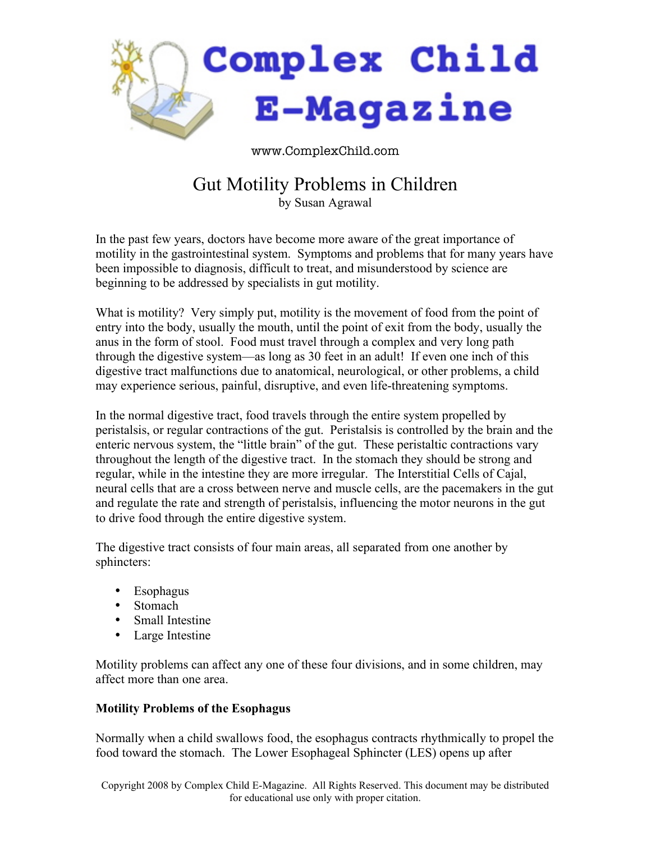

www.ComplexChild.com

# Gut Motility Problems in Children

by Susan Agrawal

In the past few years, doctors have become more aware of the great importance of motility in the gastrointestinal system. Symptoms and problems that for many years have been impossible to diagnosis, difficult to treat, and misunderstood by science are beginning to be addressed by specialists in gut motility.

What is motility? Very simply put, motility is the movement of food from the point of entry into the body, usually the mouth, until the point of exit from the body, usually the anus in the form of stool. Food must travel through a complex and very long path through the digestive system—as long as 30 feet in an adult! If even one inch of this digestive tract malfunctions due to anatomical, neurological, or other problems, a child may experience serious, painful, disruptive, and even life-threatening symptoms.

In the normal digestive tract, food travels through the entire system propelled by peristalsis, or regular contractions of the gut. Peristalsis is controlled by the brain and the enteric nervous system, the "little brain" of the gut. These peristaltic contractions vary throughout the length of the digestive tract. In the stomach they should be strong and regular, while in the intestine they are more irregular. The Interstitial Cells of Cajal, neural cells that are a cross between nerve and muscle cells, are the pacemakers in the gut and regulate the rate and strength of peristalsis, influencing the motor neurons in the gut to drive food through the entire digestive system.

The digestive tract consists of four main areas, all separated from one another by sphincters:

- Esophagus
- Stomach
- Small Intestine
- Large Intestine

Motility problems can affect any one of these four divisions, and in some children, may affect more than one area.

## **Motility Problems of the Esophagus**

Normally when a child swallows food, the esophagus contracts rhythmically to propel the food toward the stomach. The Lower Esophageal Sphincter (LES) opens up after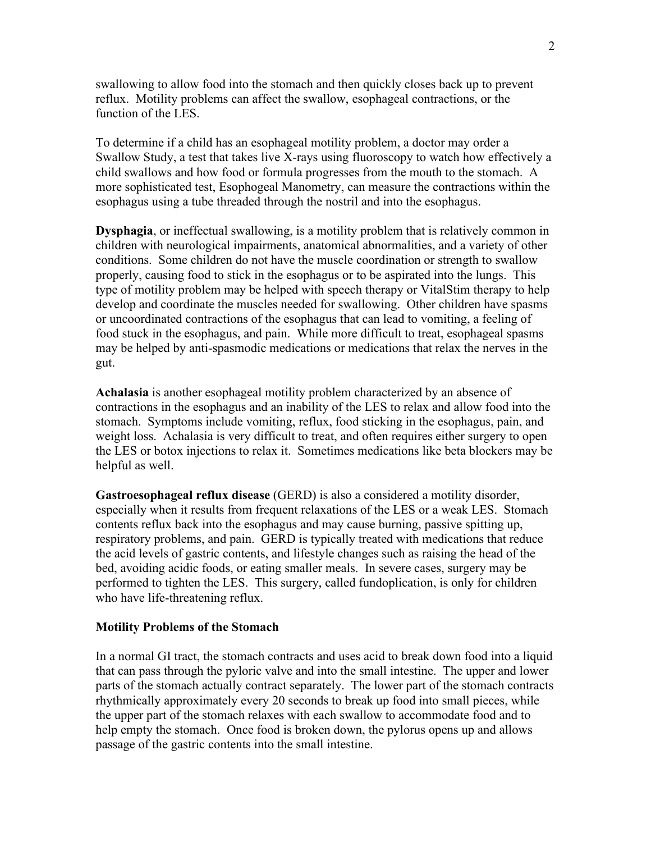swallowing to allow food into the stomach and then quickly closes back up to prevent reflux. Motility problems can affect the swallow, esophageal contractions, or the function of the LES.

To determine if a child has an esophageal motility problem, a doctor may order a Swallow Study, a test that takes live X-rays using fluoroscopy to watch how effectively a child swallows and how food or formula progresses from the mouth to the stomach. A more sophisticated test, Esophogeal Manometry, can measure the contractions within the esophagus using a tube threaded through the nostril and into the esophagus.

**Dysphagia**, or ineffectual swallowing, is a motility problem that is relatively common in children with neurological impairments, anatomical abnormalities, and a variety of other conditions. Some children do not have the muscle coordination or strength to swallow properly, causing food to stick in the esophagus or to be aspirated into the lungs. This type of motility problem may be helped with speech therapy or VitalStim therapy to help develop and coordinate the muscles needed for swallowing. Other children have spasms or uncoordinated contractions of the esophagus that can lead to vomiting, a feeling of food stuck in the esophagus, and pain. While more difficult to treat, esophageal spasms may be helped by anti-spasmodic medications or medications that relax the nerves in the gut.

**Achalasia** is another esophageal motility problem characterized by an absence of contractions in the esophagus and an inability of the LES to relax and allow food into the stomach. Symptoms include vomiting, reflux, food sticking in the esophagus, pain, and weight loss. Achalasia is very difficult to treat, and often requires either surgery to open the LES or botox injections to relax it. Sometimes medications like beta blockers may be helpful as well.

**Gastroesophageal reflux disease** (GERD) is also a considered a motility disorder, especially when it results from frequent relaxations of the LES or a weak LES. Stomach contents reflux back into the esophagus and may cause burning, passive spitting up, respiratory problems, and pain. GERD is typically treated with medications that reduce the acid levels of gastric contents, and lifestyle changes such as raising the head of the bed, avoiding acidic foods, or eating smaller meals. In severe cases, surgery may be performed to tighten the LES. This surgery, called fundoplication, is only for children who have life-threatening reflux.

#### **Motility Problems of the Stomach**

In a normal GI tract, the stomach contracts and uses acid to break down food into a liquid that can pass through the pyloric valve and into the small intestine. The upper and lower parts of the stomach actually contract separately. The lower part of the stomach contracts rhythmically approximately every 20 seconds to break up food into small pieces, while the upper part of the stomach relaxes with each swallow to accommodate food and to help empty the stomach. Once food is broken down, the pylorus opens up and allows passage of the gastric contents into the small intestine.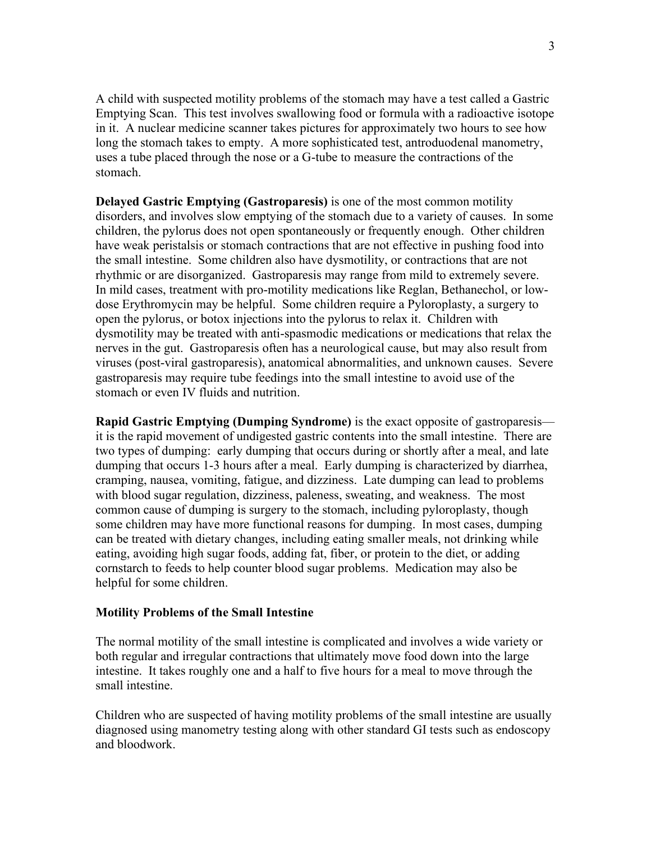A child with suspected motility problems of the stomach may have a test called a Gastric Emptying Scan. This test involves swallowing food or formula with a radioactive isotope in it. A nuclear medicine scanner takes pictures for approximately two hours to see how long the stomach takes to empty. A more sophisticated test, antroduodenal manometry, uses a tube placed through the nose or a G-tube to measure the contractions of the stomach.

**Delayed Gastric Emptying (Gastroparesis)** is one of the most common motility disorders, and involves slow emptying of the stomach due to a variety of causes. In some children, the pylorus does not open spontaneously or frequently enough. Other children have weak peristalsis or stomach contractions that are not effective in pushing food into the small intestine. Some children also have dysmotility, or contractions that are not rhythmic or are disorganized. Gastroparesis may range from mild to extremely severe. In mild cases, treatment with pro-motility medications like Reglan, Bethanechol, or lowdose Erythromycin may be helpful. Some children require a Pyloroplasty, a surgery to open the pylorus, or botox injections into the pylorus to relax it. Children with dysmotility may be treated with anti-spasmodic medications or medications that relax the nerves in the gut. Gastroparesis often has a neurological cause, but may also result from viruses (post-viral gastroparesis), anatomical abnormalities, and unknown causes. Severe gastroparesis may require tube feedings into the small intestine to avoid use of the stomach or even IV fluids and nutrition.

**Rapid Gastric Emptying (Dumping Syndrome)** is the exact opposite of gastroparesis it is the rapid movement of undigested gastric contents into the small intestine. There are two types of dumping: early dumping that occurs during or shortly after a meal, and late dumping that occurs 1-3 hours after a meal. Early dumping is characterized by diarrhea, cramping, nausea, vomiting, fatigue, and dizziness. Late dumping can lead to problems with blood sugar regulation, dizziness, paleness, sweating, and weakness. The most common cause of dumping is surgery to the stomach, including pyloroplasty, though some children may have more functional reasons for dumping. In most cases, dumping can be treated with dietary changes, including eating smaller meals, not drinking while eating, avoiding high sugar foods, adding fat, fiber, or protein to the diet, or adding cornstarch to feeds to help counter blood sugar problems. Medication may also be helpful for some children.

#### **Motility Problems of the Small Intestine**

The normal motility of the small intestine is complicated and involves a wide variety or both regular and irregular contractions that ultimately move food down into the large intestine. It takes roughly one and a half to five hours for a meal to move through the small intestine.

Children who are suspected of having motility problems of the small intestine are usually diagnosed using manometry testing along with other standard GI tests such as endoscopy and bloodwork.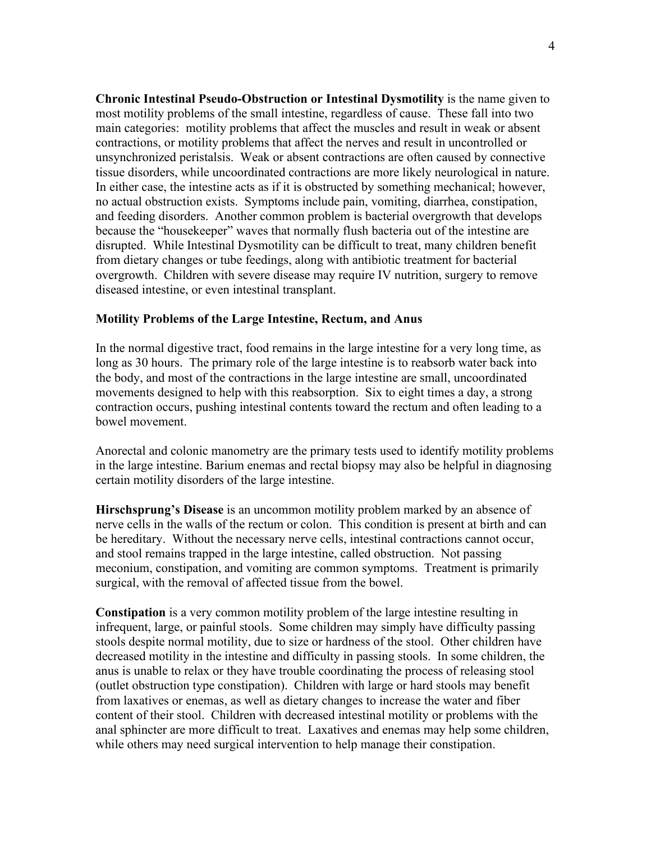**Chronic Intestinal Pseudo-Obstruction or Intestinal Dysmotility** is the name given to most motility problems of the small intestine, regardless of cause. These fall into two main categories: motility problems that affect the muscles and result in weak or absent contractions, or motility problems that affect the nerves and result in uncontrolled or unsynchronized peristalsis. Weak or absent contractions are often caused by connective tissue disorders, while uncoordinated contractions are more likely neurological in nature. In either case, the intestine acts as if it is obstructed by something mechanical; however, no actual obstruction exists. Symptoms include pain, vomiting, diarrhea, constipation, and feeding disorders. Another common problem is bacterial overgrowth that develops because the "housekeeper" waves that normally flush bacteria out of the intestine are disrupted. While Intestinal Dysmotility can be difficult to treat, many children benefit from dietary changes or tube feedings, along with antibiotic treatment for bacterial overgrowth. Children with severe disease may require IV nutrition, surgery to remove diseased intestine, or even intestinal transplant.

### **Motility Problems of the Large Intestine, Rectum, and Anus**

In the normal digestive tract, food remains in the large intestine for a very long time, as long as 30 hours. The primary role of the large intestine is to reabsorb water back into the body, and most of the contractions in the large intestine are small, uncoordinated movements designed to help with this reabsorption. Six to eight times a day, a strong contraction occurs, pushing intestinal contents toward the rectum and often leading to a bowel movement.

Anorectal and colonic manometry are the primary tests used to identify motility problems in the large intestine. Barium enemas and rectal biopsy may also be helpful in diagnosing certain motility disorders of the large intestine.

**Hirschsprung's Disease** is an uncommon motility problem marked by an absence of nerve cells in the walls of the rectum or colon. This condition is present at birth and can be hereditary. Without the necessary nerve cells, intestinal contractions cannot occur, and stool remains trapped in the large intestine, called obstruction. Not passing meconium, constipation, and vomiting are common symptoms. Treatment is primarily surgical, with the removal of affected tissue from the bowel.

**Constipation** is a very common motility problem of the large intestine resulting in infrequent, large, or painful stools. Some children may simply have difficulty passing stools despite normal motility, due to size or hardness of the stool. Other children have decreased motility in the intestine and difficulty in passing stools. In some children, the anus is unable to relax or they have trouble coordinating the process of releasing stool (outlet obstruction type constipation). Children with large or hard stools may benefit from laxatives or enemas, as well as dietary changes to increase the water and fiber content of their stool. Children with decreased intestinal motility or problems with the anal sphincter are more difficult to treat. Laxatives and enemas may help some children, while others may need surgical intervention to help manage their constipation.